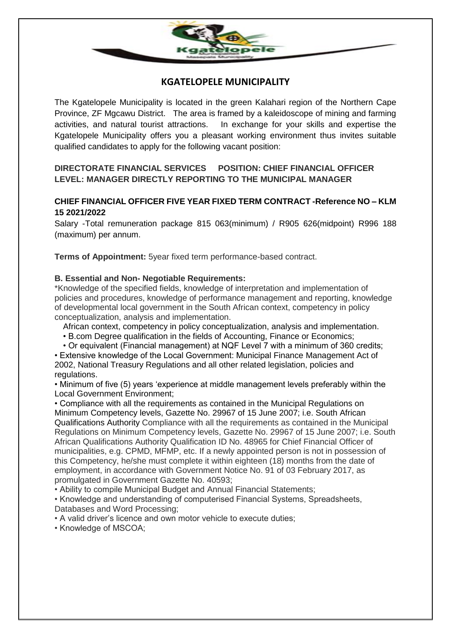

## **KGATELOPELE MUNICIPALITY**

The Kgatelopele Municipality is located in the green Kalahari region of the Northern Cape Province, ZF Mgcawu District. The area is framed by a kaleidoscope of mining and farming activities, and natural tourist attractions. In exchange for your skills and expertise the Kgatelopele Municipality offers you a pleasant working environment thus invites suitable qualified candidates to apply for the following vacant position:

## **DIRECTORATE FINANCIAL SERVICES POSITION: CHIEF FINANCIAL OFFICER LEVEL: MANAGER DIRECTLY REPORTING TO THE MUNICIPAL MANAGER**

### **CHIEF FINANCIAL OFFICER FIVE YEAR FIXED TERM CONTRACT -Reference NO – KLM 15 2021/2022**

Salary -Total remuneration package 815 063(minimum) / R905 626(midpoint) R996 188 (maximum) per annum.

**Terms of Appointment:** 5year fixed term performance-based contract.

#### **B. Essential and Non- Negotiable Requirements:**

\*Knowledge of the specified fields, knowledge of interpretation and implementation of policies and procedures, knowledge of performance management and reporting, knowledge of developmental local government in the South African context, competency in policy conceptualization, analysis and implementation.

African context, competency in policy conceptualization, analysis and implementation.

- B.com Degree qualification in the fields of Accounting, Finance or Economics;
- Or equivalent (Financial management) at NQF Level 7 with a minimum of 360 credits;

• Extensive knowledge of the Local Government: Municipal Finance Management Act of 2002, National Treasury Regulations and all other related legislation, policies and regulations.

• Minimum of five (5) years 'experience at middle management levels preferably within the Local Government Environment;

• Compliance with all the requirements as contained in the Municipal Regulations on Minimum Competency levels, Gazette No. 29967 of 15 June 2007; i.e. South African Qualifications Authority Compliance with all the requirements as contained in the Municipal Regulations on Minimum Competency levels, Gazette No. 29967 of 15 June 2007; i.e. South African Qualifications Authority Qualification ID No. 48965 for Chief Financial Officer of municipalities, e.g. CPMD, MFMP, etc. If a newly appointed person is not in possession of this Competency, he/she must complete it within eighteen (18) months from the date of employment, in accordance with Government Notice No. 91 of 03 February 2017, as promulgated in Government Gazette No. 40593;

• Ability to compile Municipal Budget and Annual Financial Statements;

• Knowledge and understanding of computerised Financial Systems, Spreadsheets, Databases and Word Processing;

• A valid driver's licence and own motor vehicle to execute duties;

• Knowledge of MSCOA;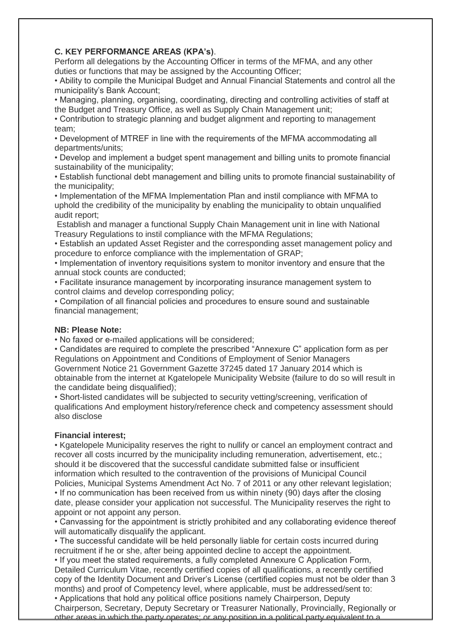#### **C. KEY PERFORMANCE AREAS (KPA's)**.

Perform all delegations by the Accounting Officer in terms of the MFMA, and any other duties or functions that may be assigned by the Accounting Officer;

• Ability to compile the Municipal Budget and Annual Financial Statements and control all the municipality's Bank Account;

• Managing, planning, organising, coordinating, directing and controlling activities of staff at the Budget and Treasury Office, as well as Supply Chain Management unit;

• Contribution to strategic planning and budget alignment and reporting to management team;

• Development of MTREF in line with the requirements of the MFMA accommodating all departments/units;

• Develop and implement a budget spent management and billing units to promote financial sustainability of the municipality;

• Establish functional debt management and billing units to promote financial sustainability of the municipality;

• Implementation of the MFMA Implementation Plan and instil compliance with MFMA to uphold the credibility of the municipality by enabling the municipality to obtain unqualified audit report;

Establish and manager a functional Supply Chain Management unit in line with National Treasury Regulations to instil compliance with the MFMA Regulations;

• Establish an updated Asset Register and the corresponding asset management policy and procedure to enforce compliance with the implementation of GRAP;

• Implementation of inventory requisitions system to monitor inventory and ensure that the annual stock counts are conducted;

• Facilitate insurance management by incorporating insurance management system to control claims and develop corresponding policy;

• Compilation of all financial policies and procedures to ensure sound and sustainable financial management;

#### **NB: Please Note:**

• No faxed or e-mailed applications will be considered;

• Candidates are required to complete the prescribed "Annexure C" application form as per Regulations on Appointment and Conditions of Employment of Senior Managers Government Notice 21 Government Gazette 37245 dated 17 January 2014 which is obtainable from the internet at Kgatelopele Municipality Website (failure to do so will result in the candidate being disqualified);

• Short-listed candidates will be subjected to security vetting/screening, verification of qualifications And employment history/reference check and competency assessment should also disclose

#### **Financial interest;**

• Kgatelopele Municipality reserves the right to nullify or cancel an employment contract and recover all costs incurred by the municipality including remuneration, advertisement, etc.; should it be discovered that the successful candidate submitted false or insufficient information which resulted to the contravention of the provisions of Municipal Council Policies, Municipal Systems Amendment Act No. 7 of 2011 or any other relevant legislation; • If no communication has been received from us within ninety (90) days after the closing

date, please consider your application not successful. The Municipality reserves the right to appoint or not appoint any person.

• Canvassing for the appointment is strictly prohibited and any collaborating evidence thereof will automatically disqualify the applicant.

• The successful candidate will be held personally liable for certain costs incurred during recruitment if he or she, after being appointed decline to accept the appointment.

• If you meet the stated requirements, a fully completed Annexure C Application Form, Detailed Curriculum Vitae, recently certified copies of all qualifications, a recently certified copy of the Identity Document and Driver's License (certified copies must not be older than 3 months) and proof of Competency level, where applicable, must be addressed/sent to: • Applications that hold any political office positions namely Chairperson, Deputy Chairperson, Secretary, Deputy Secretary or Treasurer Nationally, Provincially, Regionally or other areas in which the party operates; or any position in a political party equivalent to a